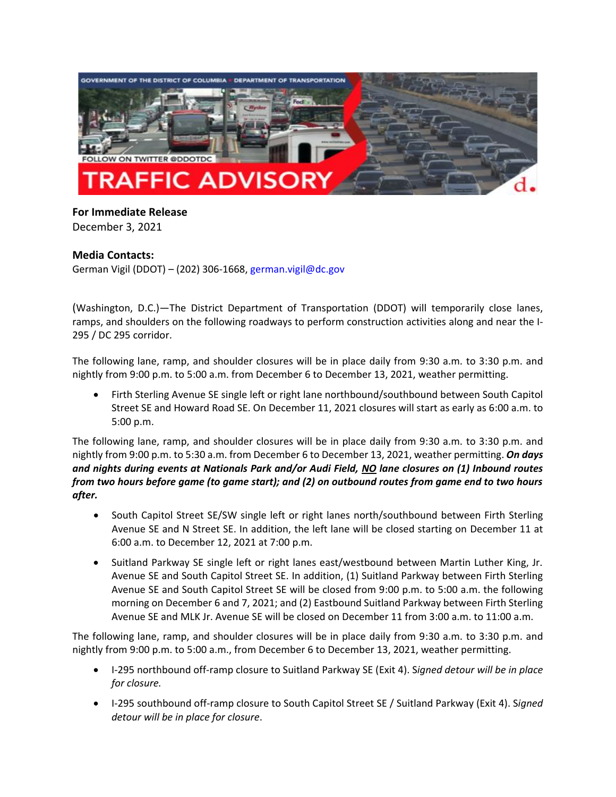

## **For Immediate Release** December 3, 2021

## **Media Contacts:**

German Vigil (DDOT) – (202) 306-1668, [german.vigil@dc.gov](mailto:german.vigil@dc.gov)

(Washington, D.C.)—The District Department of Transportation (DDOT) will temporarily close lanes, ramps, and shoulders on the following roadways to perform construction activities along and near the I-295 / DC 295 corridor.

The following lane, ramp, and shoulder closures will be in place daily from 9:30 a.m. to 3:30 p.m. and nightly from 9:00 p.m. to 5:00 a.m. from December 6 to December 13, 2021, weather permitting.

• Firth Sterling Avenue SE single left or right lane northbound/southbound between South Capitol Street SE and Howard Road SE. On December 11, 2021 closures will start as early as 6:00 a.m. to 5:00 p.m.

The following lane, ramp, and shoulder closures will be in place daily from 9:30 a.m. to 3:30 p.m. and nightly from 9:00 p.m. to 5:30 a.m. from December 6 to December 13, 2021, weather permitting. *On days and nights during events at Nationals Park and/or Audi Field, NO lane closures on (1) Inbound routes from two hours before game (to game start); and (2) on outbound routes from game end to two hours after.*

- South Capitol Street SE/SW single left or right lanes north/southbound between Firth Sterling Avenue SE and N Street SE. In addition, the left lane will be closed starting on December 11 at 6:00 a.m. to December 12, 2021 at 7:00 p.m.
- Suitland Parkway SE single left or right lanes east/westbound between Martin Luther King, Jr. Avenue SE and South Capitol Street SE. In addition, (1) Suitland Parkway between Firth Sterling Avenue SE and South Capitol Street SE will be closed from 9:00 p.m. to 5:00 a.m. the following morning on December 6 and 7, 2021; and (2) Eastbound Suitland Parkway between Firth Sterling Avenue SE and MLK Jr. Avenue SE will be closed on December 11 from 3:00 a.m. to 11:00 a.m.

The following lane, ramp, and shoulder closures will be in place daily from 9:30 a.m. to 3:30 p.m. and nightly from 9:00 p.m. to 5:00 a.m., from December 6 to December 13, 2021, weather permitting.

- I-295 northbound off-ramp closure to Suitland Parkway SE (Exit 4). S*igned detour will be in place for closure.*
- I-295 southbound off-ramp closure to South Capitol Street SE / Suitland Parkway (Exit 4). S*igned detour will be in place for closure*.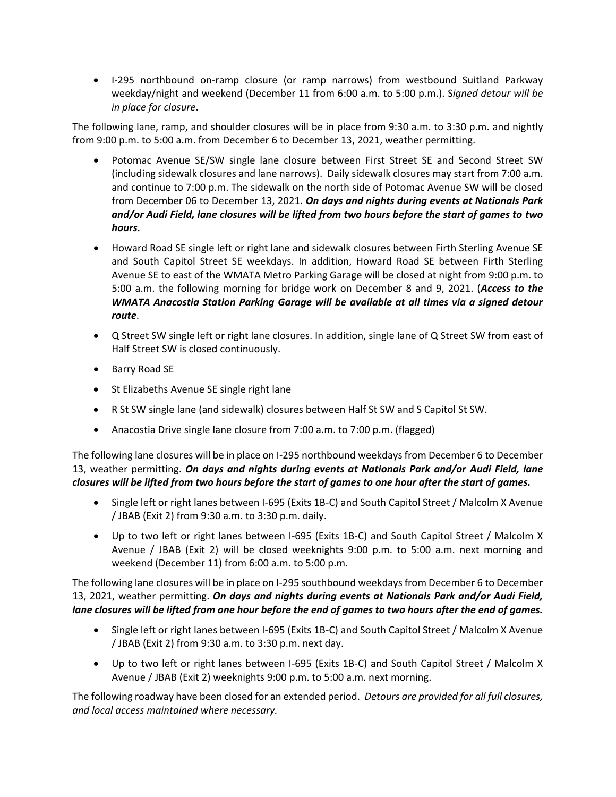• I-295 northbound on-ramp closure (or ramp narrows) from westbound Suitland Parkway weekday/night and weekend (December 11 from 6:00 a.m. to 5:00 p.m.). S*igned detour will be in place for closure*.

The following lane, ramp, and shoulder closures will be in place from 9:30 a.m. to 3:30 p.m. and nightly from 9:00 p.m. to 5:00 a.m. from December 6 to December 13, 2021, weather permitting.

- Potomac Avenue SE/SW single lane closure between First Street SE and Second Street SW (including sidewalk closures and lane narrows). Daily sidewalk closures may start from 7:00 a.m. and continue to 7:00 p.m. The sidewalk on the north side of Potomac Avenue SW will be closed from December 06 to December 13, 2021. *On days and nights during events at Nationals Park and/or Audi Field, lane closures will be lifted from two hours before the start of games to two hours.*
- Howard Road SE single left or right lane and sidewalk closures between Firth Sterling Avenue SE and South Capitol Street SE weekdays. In addition, Howard Road SE between Firth Sterling Avenue SE to east of the WMATA Metro Parking Garage will be closed at night from 9:00 p.m. to 5:00 a.m. the following morning for bridge work on December 8 and 9, 2021. (*Access to the WMATA Anacostia Station Parking Garage will be available at all times via a signed detour route*.
- Q Street SW single left or right lane closures. In addition, single lane of Q Street SW from east of Half Street SW is closed continuously.
- Barry Road SE
- St Elizabeths Avenue SE single right lane
- R St SW single lane (and sidewalk) closures between Half St SW and S Capitol St SW.
- Anacostia Drive single lane closure from 7:00 a.m. to 7:00 p.m. (flagged)

The following lane closures will be in place on I-295 northbound weekdaysfrom December 6 to December 13, weather permitting. *On days and nights during events at Nationals Park and/or Audi Field, lane closures will be lifted from two hours before the start of games to one hour after the start of games.*

- Single left or right lanes between I-695 (Exits 1B-C) and South Capitol Street / Malcolm X Avenue / JBAB (Exit 2) from 9:30 a.m. to 3:30 p.m. daily.
- Up to two left or right lanes between I-695 (Exits 1B-C) and South Capitol Street / Malcolm X Avenue / JBAB (Exit 2) will be closed weeknights 9:00 p.m. to 5:00 a.m. next morning and weekend (December 11) from 6:00 a.m. to 5:00 p.m.

The following lane closures will be in place on I-295 southbound weekdaysfrom December 6 to December 13, 2021, weather permitting. *On days and nights during events at Nationals Park and/or Audi Field, lane closures will be lifted from one hour before the end of games to two hours after the end of games.*

- Single left or right lanes between I-695 (Exits 1B-C) and South Capitol Street / Malcolm X Avenue / JBAB (Exit 2) from 9:30 a.m. to 3:30 p.m. next day.
- Up to two left or right lanes between I-695 (Exits 1B-C) and South Capitol Street / Malcolm X Avenue / JBAB (Exit 2) weeknights 9:00 p.m. to 5:00 a.m. next morning.

The following roadway have been closed for an extended period. *Detours are provided for all full closures, and local access maintained where necessary.*